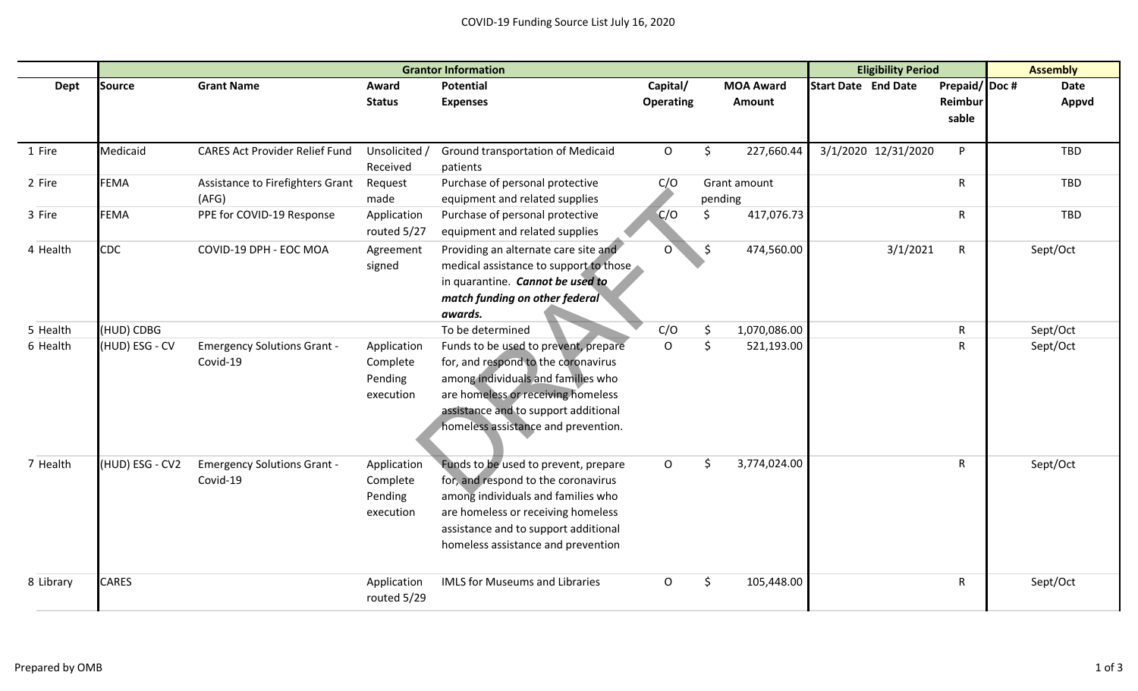## COVID-19 Funding Source List July 16, 2020

|           | <b>Grantor Information</b> |                                                |                                                 |                                                                                                                                                                                                                                        |                  |         | <b>Eligibility Period</b> |                            |                     | <b>Assembly</b>  |      |            |
|-----------|----------------------------|------------------------------------------------|-------------------------------------------------|----------------------------------------------------------------------------------------------------------------------------------------------------------------------------------------------------------------------------------------|------------------|---------|---------------------------|----------------------------|---------------------|------------------|------|------------|
| Dept      | Source                     | <b>Grant Name</b>                              | Award                                           | <b>Potential</b>                                                                                                                                                                                                                       | Capital/         |         | <b>MOA Award</b>          | <b>Start Date End Date</b> |                     | Prepaid/Doc#     | Date |            |
|           |                            |                                                | <b>Status</b>                                   | <b>Expenses</b>                                                                                                                                                                                                                        | <b>Operating</b> |         | Amount                    |                            |                     | Reimbur<br>sable |      | Appvd      |
|           |                            |                                                |                                                 |                                                                                                                                                                                                                                        |                  |         |                           |                            |                     |                  |      |            |
| 1 Fire    | Medicaid                   | <b>CARES Act Provider Relief Fund</b>          | Unsolicited /<br>Received                       | Ground transportation of Medicaid<br>patients                                                                                                                                                                                          | $\circ$          | \$      | 227,660.44                |                            | 3/1/2020 12/31/2020 | P.               |      | <b>TBD</b> |
| 2 Fire    | <b>FEMA</b>                | Assistance to Firefighters Grant<br>(AFG)      | Request<br>made                                 | Purchase of personal protective<br>equipment and related supplies                                                                                                                                                                      | C/O              | pending | Grant amount              |                            |                     | R                |      | <b>TBD</b> |
| 3 Fire    | <b>FEMA</b>                | PPE for COVID-19 Response                      | Application<br>routed 5/27                      | Purchase of personal protective<br>equipment and related supplies                                                                                                                                                                      | C/O              | Ś       | 417,076.73                |                            |                     | R                |      | <b>TBD</b> |
| 4 Health  | <b>CDC</b>                 | COVID-19 DPH - EOC MOA                         | Agreement<br>signed                             | Providing an alternate care site and<br>medical assistance to support to those<br>in quarantine. Cannot be used to<br>match funding on other federal<br>awards.                                                                        | $\Omega$         | $\zeta$ | 474,560.00                |                            | 3/1/2021            | $\mathsf{R}$     |      | Sept/Oct   |
| 5 Health  | (HUD) CDBG                 |                                                |                                                 | To be determined                                                                                                                                                                                                                       | C/O              | \$      | 1,070,086.00              |                            |                     | R                |      | Sept/Oct   |
| 6 Health  | (HUD) ESG - CV             | <b>Emergency Solutions Grant -</b><br>Covid-19 | Application<br>Complete<br>Pending<br>execution | Funds to be used to prevent, prepare<br>for, and respond to the coronavirus<br>among individuals and families who<br>are homeless or receiving homeless<br>assistance and to support additional<br>homeless assistance and prevention. | $\Omega$         | Ś.      | 521,193.00                |                            |                     | R                |      | Sept/Oct   |
| 7 Health  | (HUD) ESG - CV2            | <b>Emergency Solutions Grant -</b><br>Covid-19 | Application<br>Complete<br>Pending<br>execution | Funds to be used to prevent, prepare<br>for, and respond to the coronavirus<br>among individuals and families who<br>are homeless or receiving homeless<br>assistance and to support additional<br>homeless assistance and prevention  | $\mathsf{O}$     | Ś.      | 3,774,024.00              |                            |                     | R                |      | Sept/Oct   |
| 8 Library | <b>CARES</b>               |                                                | Application<br>routed 5/29                      | <b>IMLS for Museums and Libraries</b>                                                                                                                                                                                                  | O                | Ś.      | 105,448.00                |                            |                     | R                |      | Sept/Oct   |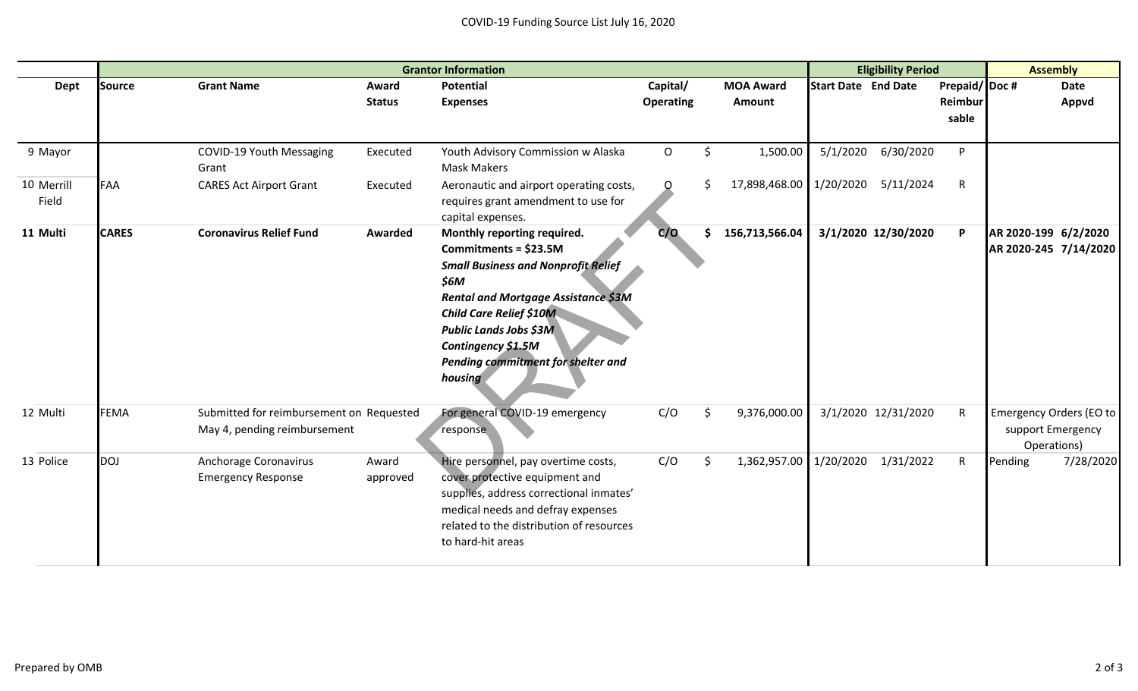|                     | <b>Grantor Information</b> |                                                                          |                        |                                                                                                                                                                                                                                                                                                    |                              |    |                            |                            | <b>Eligibility Period</b> |                                  |                                                                    | <b>Assembly</b> |  |  |
|---------------------|----------------------------|--------------------------------------------------------------------------|------------------------|----------------------------------------------------------------------------------------------------------------------------------------------------------------------------------------------------------------------------------------------------------------------------------------------------|------------------------------|----|----------------------------|----------------------------|---------------------------|----------------------------------|--------------------------------------------------------------------|-----------------|--|--|
| Dept                | <b>Source</b>              | <b>Grant Name</b>                                                        | Award<br><b>Status</b> | <b>Potential</b><br><b>Expenses</b>                                                                                                                                                                                                                                                                | Capital/<br><b>Operating</b> |    | <b>MOA Award</b><br>Amount | <b>Start Date End Date</b> |                           | Prepaid/Doc#<br>Reimbur<br>sable |                                                                    | Date<br>Appvd   |  |  |
| 9 Mayor             |                            | COVID-19 Youth Messaging<br>Grant                                        | Executed               | Youth Advisory Commission w Alaska<br><b>Mask Makers</b>                                                                                                                                                                                                                                           | $\mathsf O$                  | \$ | 1,500.00                   | 5/1/2020                   | 6/30/2020                 | P                                |                                                                    |                 |  |  |
| 10 Merrill<br>Field | <b>FAA</b>                 | <b>CARES Act Airport Grant</b>                                           | Executed               | Aeronautic and airport operating costs,<br>requires grant amendment to use for<br>capital expenses.                                                                                                                                                                                                | Ω                            | S  | 17,898,468.00 1/20/2020    |                            | 5/11/2024                 | $\mathsf{R}$                     |                                                                    |                 |  |  |
| 11 Multi            | <b>CARES</b>               | <b>Coronavirus Relief Fund</b>                                           | Awarded                | Monthly reporting required.<br>Commitments = \$23.5M<br><b>Small Business and Nonprofit Relief</b><br>\$6M<br><b>Rental and Mortgage Assistance \$3M</b><br><b>Child Care Relief \$10M</b><br><b>Public Lands Jobs \$3M</b><br>Contingency \$1.5M<br>Pending commitment for shelter and<br>housing | C/O                          | \$ | 156,713,566.04             |                            | 3/1/2020 12/30/2020       | P                                | AR 2020-199 6/2/2020<br>AR 2020-245 7/14/2020                      |                 |  |  |
| 12 Multi            | <b>FEMA</b>                | Submitted for reimbursement on Requested<br>May 4, pending reimbursement |                        | For general COVID-19 emergency<br>response                                                                                                                                                                                                                                                         | C/O                          | \$ | 9,376,000.00               |                            | 3/1/2020 12/31/2020       | $\mathsf{R}$                     | <b>Emergency Orders (EO to</b><br>support Emergency<br>Operations) |                 |  |  |
| 13 Police           | <b>DOJ</b>                 | Anchorage Coronavirus<br><b>Emergency Response</b>                       | Award<br>approved      | Hire personnel, pay overtime costs,<br>cover protective equipment and<br>supplies, address correctional inmates'<br>medical needs and defray expenses<br>related to the distribution of resources<br>to hard-hit areas                                                                             | C/O                          | Ś. | 1,362,957.00 1/20/2020     |                            | 1/31/2022                 | $\mathsf{R}$                     | Pending                                                            | 7/28/2020       |  |  |